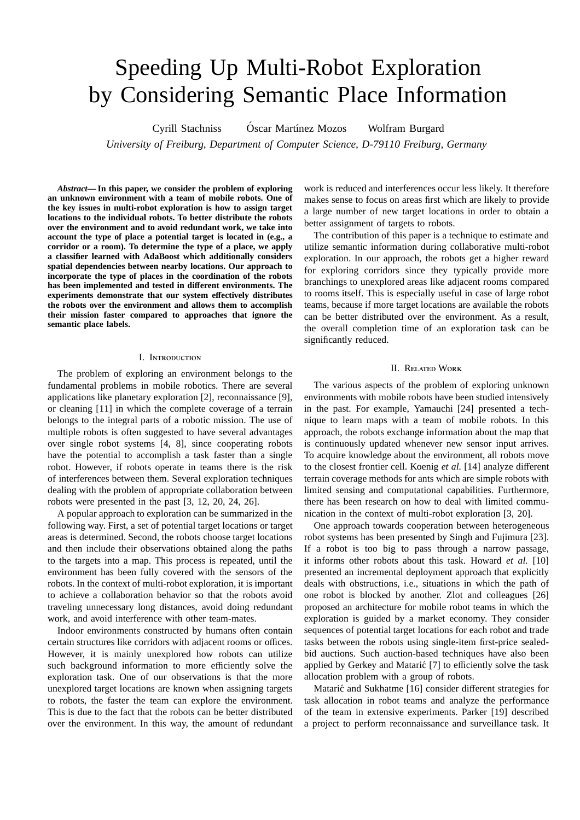# Speeding Up Multi-Robot Exploration by Considering Semantic Place Information

Cyrill Stachniss Óscar Martínez Mozos Wolfram Burgard *University of Freiburg, Department of Computer Science, D-79110 Freiburg, Germany*

*Abstract***— In this paper, we consider the problem of exploring an unknown environment with a team of mobile robots. One of the key issues in multi-robot exploration is how to assign target locations to the individual robots. To better distribute the robots over the environment and to avoid redundant work, we take into account the type of place a potential target is located in (e.g., a corridor or a room). To determine the type of a place, we apply a classifier learned with AdaBoost which additionally considers spatial dependencies between nearby locations. Our approach to incorporate the type of places in the coordination of the robots has been implemented and tested in di**ff**erent environments. The experiments demonstrate that our system e**ff**ectively distributes the robots over the environment and allows them to accomplish their mission faster compared to approaches that ignore the semantic place labels.**

## I. I

The problem of exploring an environment belongs to the fundamental problems in mobile robotics. There are several applications like planetary exploration [2], reconnaissance [9], or cleaning [11] in which the complete coverage of a terrain belongs to the integral parts of a robotic mission. The use of multiple robots is often suggested to have several advantages over single robot systems [4, 8], since cooperating robots have the potential to accomplish a task faster than a single robot. However, if robots operate in teams there is the risk of interferences between them. Several exploration techniques dealing with the problem of appropriate collaboration between robots were presented in the past [3, 12, 20, 24, 26].

A popular approach to exploration can be summarized in the following way. First, a set of potential target locations or target areas is determined. Second, the robots choose target locations and then include their observations obtained along the paths to the targets into a map. This process is repeated, until the environment has been fully covered with the sensors of the robots. In the context of multi-robot exploration, it is important to achieve a collaboration behavior so that the robots avoid traveling unnecessary long distances, avoid doing redundant work, and avoid interference with other team-mates.

Indoor environments constructed by humans often contain certain structures like corridors with adjacent rooms or offices. However, it is mainly unexplored how robots can utilize such background information to more efficiently solve the exploration task. One of our observations is that the more unexplored target locations are known when assigning targets to robots, the faster the team can explore the environment. This is due to the fact that the robots can be better distributed over the environment. In this way, the amount of redundant work is reduced and interferences occur less likely. It therefore makes sense to focus on areas first which are likely to provide a large number of new target locations in order to obtain a better assignment of targets to robots.

The contribution of this paper is a technique to estimate and utilize semantic information during collaborative multi-robot exploration. In our approach, the robots get a higher reward for exploring corridors since they typically provide more branchings to unexplored areas like adjacent rooms compared to rooms itself. This is especially useful in case of large robot teams, because if more target locations are available the robots can be better distributed over the environment. As a result, the overall completion time of an exploration task can be significantly reduced.

#### II. R W

The various aspects of the problem of exploring unknown environments with mobile robots have been studied intensively in the past. For example, Yamauchi [24] presented a technique to learn maps with a team of mobile robots. In this approach, the robots exchange information about the map that is continuously updated whenever new sensor input arrives. To acquire knowledge about the environment, all robots move to the closest frontier cell. Koenig *et al.* [14] analyze different terrain coverage methods for ants which are simple robots with limited sensing and computational capabilities. Furthermore, there has been research on how to deal with limited communication in the context of multi-robot exploration [3, 20].

One approach towards cooperation between heterogeneous robot systems has been presented by Singh and Fujimura [23]. If a robot is too big to pass through a narrow passage, it informs other robots about this task. Howard *et al.* [10] presented an incremental deployment approach that explicitly deals with obstructions, i.e., situations in which the path of one robot is blocked by another. Zlot and colleagues [26] proposed an architecture for mobile robot teams in which the exploration is guided by a market economy. They consider sequences of potential target locations for each robot and trade tasks between the robots using single-item first-price sealedbid auctions. Such auction-based techniques have also been applied by Gerkey and Matarić [7] to efficiently solve the task allocation problem with a group of robots.

Matarić and Sukhatme [16] consider different strategies for task allocation in robot teams and analyze the performance of the team in extensive experiments. Parker [19] described a project to perform reconnaissance and surveillance task. It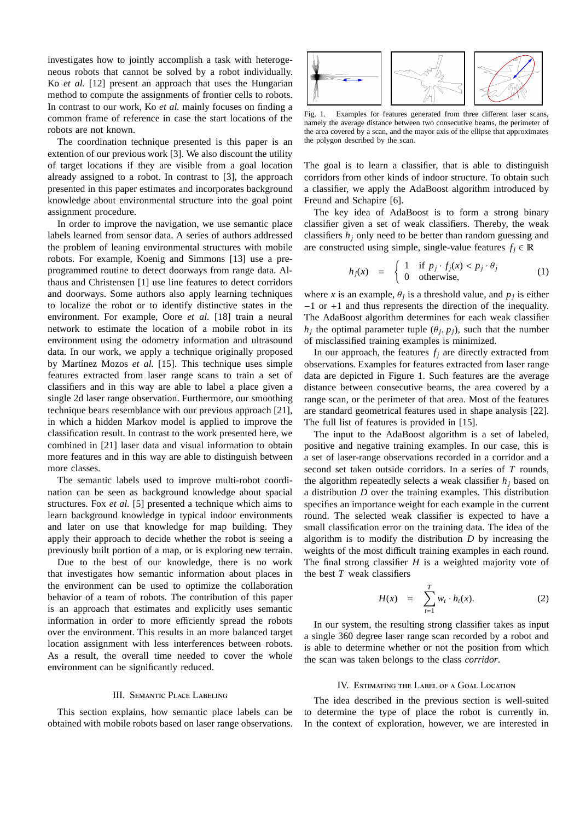investigates how to jointly accomplish a task with heterogeneous robots that cannot be solved by a robot individually. Ko *et al.* [12] present an approach that uses the Hungarian method to compute the assignments of frontier cells to robots. In contrast to our work, Ko *et al.* mainly focuses on finding a common frame of reference in case the start locations of the robots are not known.

The coordination technique presented is this paper is an extention of our previous work [3]. We also discount the utility of target locations if they are visible from a goal location already assigned to a robot. In contrast to [3], the approach presented in this paper estimates and incorporates background knowledge about environmental structure into the goal point assignment procedure.

In order to improve the navigation, we use semantic place labels learned from sensor data. A series of authors addressed the problem of leaning environmental structures with mobile robots. For example, Koenig and Simmons [13] use a preprogrammed routine to detect doorways from range data. Althaus and Christensen [1] use line features to detect corridors and doorways. Some authors also apply learning techniques to localize the robot or to identify distinctive states in the environment. For example, Oore *et al.* [18] train a neural network to estimate the location of a mobile robot in its environment using the odometry information and ultrasound data. In our work, we apply a technique originally proposed by Martínez Mozos *et al.* [15]. This technique uses simple features extracted from laser range scans to train a set of classifiers and in this way are able to label a place given a single 2d laser range observation. Furthermore, our smoothing technique bears resemblance with our previous approach [21], in which a hidden Markov model is applied to improve the classification result. In contrast to the work presented here, we combined in [21] laser data and visual information to obtain more features and in this way are able to distinguish between more classes.

The semantic labels used to improve multi-robot coordination can be seen as background knowledge about spacial structures. Fox *et al.* [5] presented a technique which aims to learn background knowledge in typical indoor environments and later on use that knowledge for map building. They apply their approach to decide whether the robot is seeing a previously built portion of a map, or is exploring new terrain.

Due to the best of our knowledge, there is no work that investigates how semantic information about places in the environment can be used to optimize the collaboration behavior of a team of robots. The contribution of this paper is an approach that estimates and explicitly uses semantic information in order to more efficiently spread the robots over the environment. This results in an more balanced target location assignment with less interferences between robots. As a result, the overall time needed to cover the whole environment can be significantly reduced.

#### III.  $S$  P L

This section explains, how semantic place labels can be obtained with mobile robots based on laser range observations.



Fig. 1. Examples for features generated from three different laser scans, namely the average distance between two consecutive beams, the perimeter of the area covered by a scan, and the mayor axis of the ellipse that approximates the polygon described by the scan.

The goal is to learn a classifier, that is able to distinguish corridors from other kinds of indoor structure. To obtain such a classifier, we apply the AdaBoost algorithm introduced by Freund and Schapire [6].

The key idea of AdaBoost is to form a strong binary classifier given a set of weak classifiers. Thereby, the weak classifiers  $h_j$  only need to be better than random guessing and are constructed using simple, single-value features  $f_i \in \mathbb{R}$ 

$$
h_j(x) = \begin{cases} 1 & \text{if } p_j \cdot f_j(x) < p_j \cdot \theta_j \\ 0 & \text{otherwise,} \end{cases} \tag{1}
$$

where *x* is an example,  $\theta_j$  is a threshold value, and  $p_j$  is either −1 or +1 and thus represents the direction of the inequality. The AdaBoost algorithm determines for each weak classifier  $h_j$  the optimal parameter tuple  $(\theta_j, p_j)$ , such that the number of misclassified training examples is minimized.

In our approach, the features  $f_i$  are directly extracted from observations. Examples for features extracted from laser range data are depicted in Figure 1. Such features are the average distance between consecutive beams, the area covered by a range scan, or the perimeter of that area. Most of the features are standard geometrical features used in shape analysis [22]. The full list of features is provided in [15].

The input to the AdaBoost algorithm is a set of labeled, positive and negative training examples. In our case, this is a set of laser-range observations recorded in a corridor and a second set taken outside corridors. In a series of *T* rounds, the algorithm repeatedly selects a weak classifier  $h_j$  based on a distribution *D* over the training examples. This distribution specifies an importance weight for each example in the current round. The selected weak classifier is expected to have a small classification error on the training data. The idea of the algorithm is to modify the distribution *D* by increasing the weights of the most difficult training examples in each round. The final strong classifier *H* is a weighted majority vote of the best *T* weak classifiers

$$
H(x) = \sum_{t=1}^{T} w_t \cdot h_t(x).
$$
 (2)

In our system, the resulting strong classifier takes as input a single 360 degree laser range scan recorded by a robot and is able to determine whether or not the position from which the scan was taken belongs to the class *corridor*.

# IV. E $L$  G L

The idea described in the previous section is well-suited to determine the type of place the robot is currently in. In the context of exploration, however, we are interested in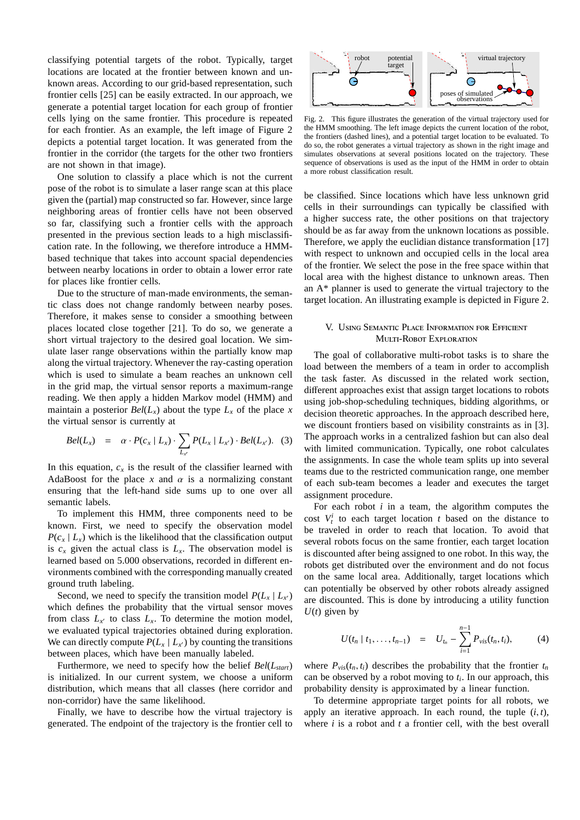classifying potential targets of the robot. Typically, target locations are located at the frontier between known and unknown areas. According to our grid-based representation, such frontier cells [25] can be easily extracted. In our approach, we generate a potential target location for each group of frontier cells lying on the same frontier. This procedure is repeated for each frontier. As an example, the left image of Figure 2 depicts a potential target location. It was generated from the frontier in the corridor (the targets for the other two frontiers are not shown in that image).

One solution to classify a place which is not the current pose of the robot is to simulate a laser range scan at this place given the (partial) map constructed so far. However, since large neighboring areas of frontier cells have not been observed so far, classifying such a frontier cells with the approach presented in the previous section leads to a high misclassification rate. In the following, we therefore introduce a HMMbased technique that takes into account spacial dependencies between nearby locations in order to obtain a lower error rate for places like frontier cells.

Due to the structure of man-made environments, the semantic class does not change randomly between nearby poses. Therefore, it makes sense to consider a smoothing between places located close together [21]. To do so, we generate a short virtual trajectory to the desired goal location. We simulate laser range observations within the partially know map along the virtual trajectory. Whenever the ray-casting operation which is used to simulate a beam reaches an unknown cell in the grid map, the virtual sensor reports a maximum-range reading. We then apply a hidden Markov model (HMM) and maintain a posterior  $Bel(L_x)$  about the type  $L_x$  of the place  $x$ the virtual sensor is currently at

$$
Bel(L_x) = \alpha \cdot P(c_x \mid L_x) \cdot \sum_{L_{x'}} P(L_x \mid L_{x'}) \cdot Bel(L_{x'}). \quad (3)
$$

In this equation,  $c_x$  is the result of the classifier learned with AdaBoost for the place  $x$  and  $\alpha$  is a normalizing constant ensuring that the left-hand side sums up to one over all semantic labels.

To implement this HMM, three components need to be known. First, we need to specify the observation model  $P(c_x | L_x)$  which is the likelihood that the classification output is  $c_x$  given the actual class is  $L_x$ . The observation model is learned based on 5.000 observations, recorded in different environments combined with the corresponding manually created ground truth labeling.

Second, we need to specify the transition model  $P(L_x | L_{x'})$ which defines the probability that the virtual sensor moves from class  $L_x$  to class  $L_x$ . To determine the motion model, we evaluated typical trajectories obtained during exploration. We can directly compute  $P(L_x | L_x)$  by counting the transitions between places, which have been manually labeled.

Furthermore, we need to specify how the belief *Bel*(*Lstart*) is initialized. In our current system, we choose a uniform distribution, which means that all classes (here corridor and non-corridor) have the same likelihood.

Finally, we have to describe how the virtual trajectory is generated. The endpoint of the trajectory is the frontier cell to



Fig. 2. This figure illustrates the generation of the virtual trajectory used for the HMM smoothing. The left image depicts the current location of the robot, the frontiers (dashed lines), and a potential target location to be evaluated. To do so, the robot generates a virtual trajectory as shown in the right image and simulates observations at several positions located on the trajectory. These sequence of observations is used as the input of the HMM in order to obtain a more robust classification result.

be classified. Since locations which have less unknown grid cells in their surroundings can typically be classified with a higher success rate, the other positions on that trajectory should be as far away from the unknown locations as possible. Therefore, we apply the euclidian distance transformation [17] with respect to unknown and occupied cells in the local area of the frontier. We select the pose in the free space within that local area with the highest distance to unknown areas. Then an A\* planner is used to generate the virtual trajectory to the target location. An illustrating example is depicted in Figure 2.

V. Using Semantic Place Information for Efficient Multi-Robot Exploration

The goal of collaborative multi-robot tasks is to share the load between the members of a team in order to accomplish the task faster. As discussed in the related work section, different approaches exist that assign target locations to robots using job-shop-scheduling techniques, bidding algorithms, or decision theoretic approaches. In the approach described here, we discount frontiers based on visibility constraints as in [3]. The approach works in a centralized fashion but can also deal with limited communication. Typically, one robot calculates the assignments. In case the whole team splits up into several teams due to the restricted communication range, one member of each sub-team becomes a leader and executes the target assignment procedure.

For each robot *i* in a team, the algorithm computes the cost  $V_t^i$  to each target location *t* based on the distance to be traveled in order to reach that location. To avoid that several robots focus on the same frontier, each target location is discounted after being assigned to one robot. In this way, the robots get distributed over the environment and do not focus on the same local area. Additionally, target locations which can potentially be observed by other robots already assigned are discounted. This is done by introducing a utility function  $U(t)$  given by

$$
U(t_n | t_1, \ldots, t_{n-1}) = U_{t_n} - \sum_{i=1}^{n-1} P_{vis}(t_n, t_i), \qquad (4)
$$

where  $P_{vis}(t_n, t_i)$  describes the probability that the frontier  $t_n$ can be observed by a robot moving to *t<sup>i</sup>* . In our approach, this probability density is approximated by a linear function.

To determine appropriate target points for all robots, we apply an iterative approach. In each round, the tuple  $(i, t)$ , where *i* is a robot and *t* a frontier cell, with the best overall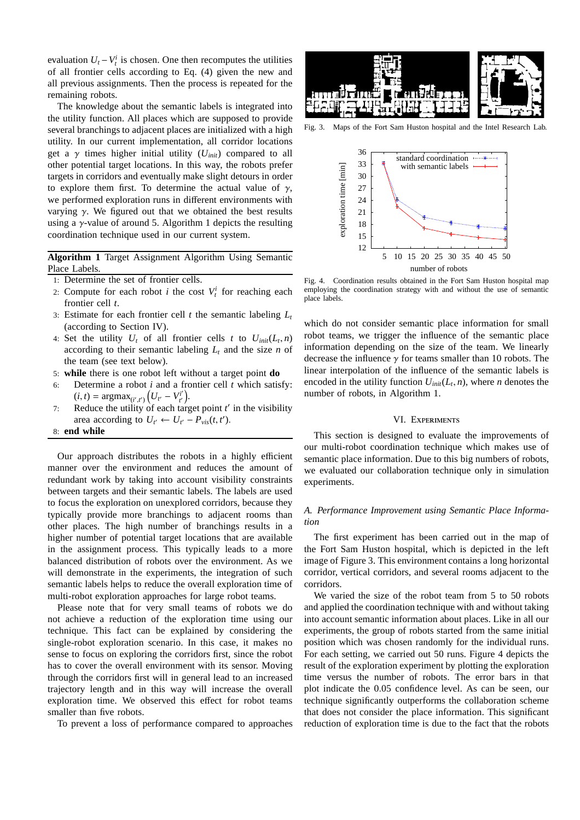evaluation  $U_t - V_t^i$  is chosen. One then recomputes the utilities of all frontier cells according to Eq. (4) given the new and all previous assignments. Then the process is repeated for the remaining robots.

The knowledge about the semantic labels is integrated into the utility function. All places which are supposed to provide several branchings to adjacent places are initialized with a high utility. In our current implementation, all corridor locations get a  $\gamma$  times higher initial utility ( $U_{init}$ ) compared to all other potential target locations. In this way, the robots prefer targets in corridors and eventually make slight detours in order to explore them first. To determine the actual value of  $\gamma$ , we performed exploration runs in different environments with varying γ. We figured out that we obtained the best results using a  $\gamma$ -value of around 5. Algorithm 1 depicts the resulting coordination technique used in our current system.

**Algorithm 1** Target Assignment Algorithm Using Semantic Place Labels.

- 1: Determine the set of frontier cells.
- 2: Compute for each robot *i* the cost  $V_t^i$  for reaching each frontier cell *t*.
- 3: Estimate for each frontier cell  $t$  the semantic labeling  $L_t$ (according to Section IV).
- 4: Set the utility  $U_t$  of all frontier cells *t* to  $U_{init}(L_t, n)$ according to their semantic labeling  $L_t$  and the size *n* of the team (see text below).
- 5: **while** there is one robot left without a target point **do**
- 6: Determine a robot *i* and a frontier cell *t* which satisfy:  $(i, t) = \text{argmax}_{(i', t')} (U_{t'} - V_{t'}^{i'}).$
- 7: Reduce the utility of each target point  $t'$  in the visibility area according to  $U_{t'} \leftarrow U_{t'} - P_{vis}(t, t')$ .

8: **end while**

Our approach distributes the robots in a highly efficient manner over the environment and reduces the amount of redundant work by taking into account visibility constraints between targets and their semantic labels. The labels are used to focus the exploration on unexplored corridors, because they typically provide more branchings to adjacent rooms than other places. The high number of branchings results in a higher number of potential target locations that are available in the assignment process. This typically leads to a more balanced distribution of robots over the environment. As we will demonstrate in the experiments, the integration of such semantic labels helps to reduce the overall exploration time of multi-robot exploration approaches for large robot teams.

Please note that for very small teams of robots we do not achieve a reduction of the exploration time using our technique. This fact can be explained by considering the single-robot exploration scenario. In this case, it makes no sense to focus on exploring the corridors first, since the robot has to cover the overall environment with its sensor. Moving through the corridors first will in general lead to an increased trajectory length and in this way will increase the overall exploration time. We observed this effect for robot teams smaller than five robots.

To prevent a loss of performance compared to approaches



Fig. 3. Maps of the Fort Sam Huston hospital and the Intel Research Lab.



Fig. 4. Coordination results obtained in the Fort Sam Huston hospital map employing the coordination strategy with and without the use of semantic place labels.

which do not consider semantic place information for small robot teams, we trigger the influence of the semantic place information depending on the size of the team. We linearly decrease the influence  $\gamma$  for teams smaller than 10 robots. The linear interpolation of the influence of the semantic labels is encoded in the utility function  $U_{init}(L_t, n)$ , where *n* denotes the number of robots, in Algorithm 1.

#### VI. E

This section is designed to evaluate the improvements of our multi-robot coordination technique which makes use of semantic place information. Due to this big numbers of robots, we evaluated our collaboration technique only in simulation experiments.

#### *A. Performance Improvement using Semantic Place Information*

The first experiment has been carried out in the map of the Fort Sam Huston hospital, which is depicted in the left image of Figure 3. This environment contains a long horizontal corridor, vertical corridors, and several rooms adjacent to the corridors.

We varied the size of the robot team from 5 to 50 robots and applied the coordination technique with and without taking into account semantic information about places. Like in all our experiments, the group of robots started from the same initial position which was chosen randomly for the individual runs. For each setting, we carried out 50 runs. Figure 4 depicts the result of the exploration experiment by plotting the exploration time versus the number of robots. The error bars in that plot indicate the 0.05 confidence level. As can be seen, our technique significantly outperforms the collaboration scheme that does not consider the place information. This significant reduction of exploration time is due to the fact that the robots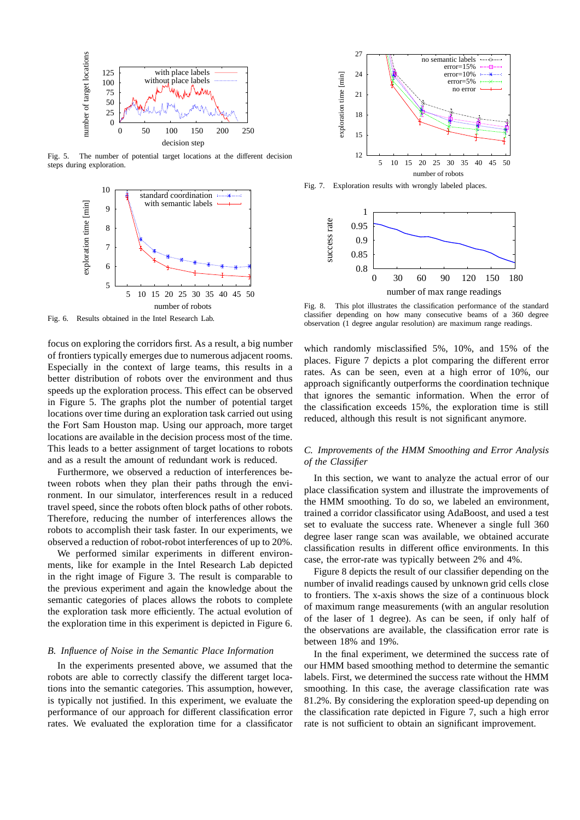

Fig. 5. The number of potential target locations at the different decision steps during exploration.



Fig. 6. Results obtained in the Intel Research Lab.

focus on exploring the corridors first. As a result, a big number of frontiers typically emerges due to numerous adjacent rooms. Especially in the context of large teams, this results in a better distribution of robots over the environment and thus speeds up the exploration process. This effect can be observed in Figure 5. The graphs plot the number of potential target locations over time during an exploration task carried out using the Fort Sam Houston map. Using our approach, more target locations are available in the decision process most of the time. This leads to a better assignment of target locations to robots and as a result the amount of redundant work is reduced.

Furthermore, we observed a reduction of interferences between robots when they plan their paths through the environment. In our simulator, interferences result in a reduced travel speed, since the robots often block paths of other robots. Therefore, reducing the number of interferences allows the robots to accomplish their task faster. In our experiments, we observed a reduction of robot-robot interferences of up to 20%.

We performed similar experiments in different environments, like for example in the Intel Research Lab depicted in the right image of Figure 3. The result is comparable to the previous experiment and again the knowledge about the semantic categories of places allows the robots to complete the exploration task more efficiently. The actual evolution of the exploration time in this experiment is depicted in Figure 6.

#### *B. Influence of Noise in the Semantic Place Information*

In the experiments presented above, we assumed that the robots are able to correctly classify the different target locations into the semantic categories. This assumption, however, is typically not justified. In this experiment, we evaluate the performance of our approach for different classification error rates. We evaluated the exploration time for a classificator



Fig. 7. Exploration results with wrongly labeled places.



Fig. 8. This plot illustrates the classification performance of the standard classifier depending on how many consecutive beams of a 360 degree observation (1 degree angular resolution) are maximum range readings.

which randomly misclassified 5%, 10%, and 15% of the places. Figure 7 depicts a plot comparing the different error rates. As can be seen, even at a high error of 10%, our approach significantly outperforms the coordination technique that ignores the semantic information. When the error of the classification exceeds 15%, the exploration time is still reduced, although this result is not significant anymore.

### *C. Improvements of the HMM Smoothing and Error Analysis of the Classifier*

In this section, we want to analyze the actual error of our place classification system and illustrate the improvements of the HMM smoothing. To do so, we labeled an environment, trained a corridor classificator using AdaBoost, and used a test set to evaluate the success rate. Whenever a single full 360 degree laser range scan was available, we obtained accurate classification results in different office environments. In this case, the error-rate was typically between 2% and 4%.

Figure 8 depicts the result of our classifier depending on the number of invalid readings caused by unknown grid cells close to frontiers. The x-axis shows the size of a continuous block of maximum range measurements (with an angular resolution of the laser of 1 degree). As can be seen, if only half of the observations are available, the classification error rate is between 18% and 19%.

In the final experiment, we determined the success rate of our HMM based smoothing method to determine the semantic labels. First, we determined the success rate without the HMM smoothing. In this case, the average classification rate was 81.2%. By considering the exploration speed-up depending on the classification rate depicted in Figure 7, such a high error rate is not sufficient to obtain an significant improvement.